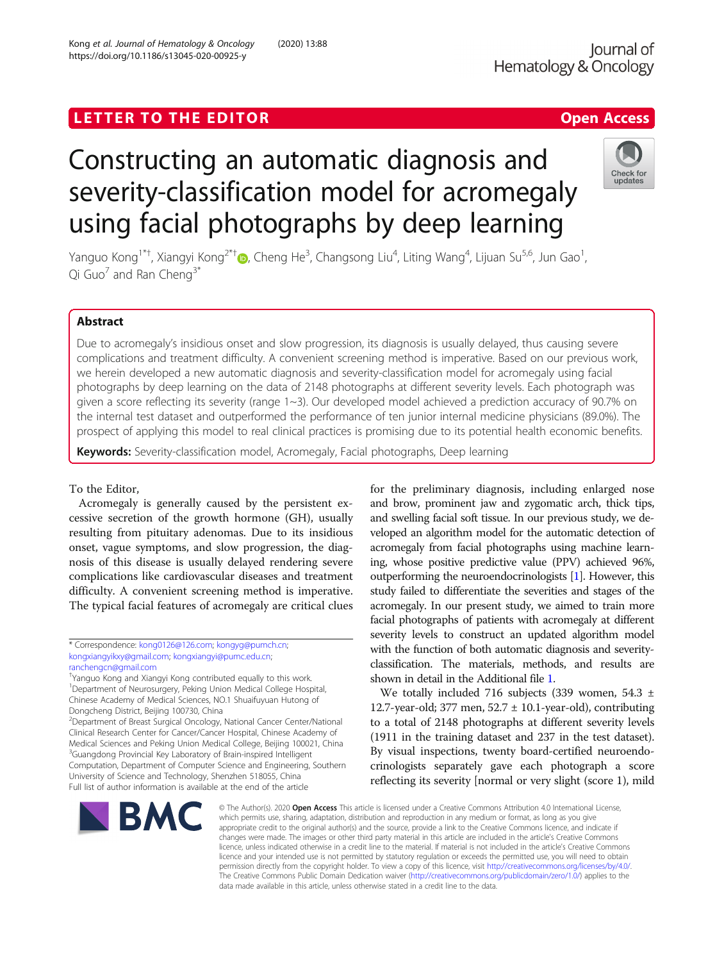https://doi.org/10.1186/s13045-020-00925-y

Kong et al. Journal of Hematology & Oncology (2020) 13:88

## LETTER TO THE EDITOR **CONSIDERING ACCESS**

# Constructing an automatic diagnosis and severity-classification model for acromegaly using facial photographs by deep learning



Yanguo Kong<sup>1\*[†](http://orcid.org/0000-0002-8209-042X)</sup>, Xiangyi Kong<sup>2\*†</sup>៊Ω, Cheng He<sup>3</sup>, Changsong Liu<sup>4</sup>, Liting Wang<sup>4</sup>, Lijuan Su<sup>5,6</sup>, Jun Gao<sup>1</sup> , Qi Guo $^7$  and Ran Cheng<sup>3\*</sup>

### Abstract

Due to acromegaly's insidious onset and slow progression, its diagnosis is usually delayed, thus causing severe complications and treatment difficulty. A convenient screening method is imperative. Based on our previous work, we herein developed a new automatic diagnosis and severity-classification model for acromegaly using facial photographs by deep learning on the data of 2148 photographs at different severity levels. Each photograph was given a score reflecting its severity (range 1~3). Our developed model achieved a prediction accuracy of 90.7% on the internal test dataset and outperformed the performance of ten junior internal medicine physicians (89.0%). The prospect of applying this model to real clinical practices is promising due to its potential health economic benefits.

Keywords: Severity-classification model, Acromegaly, Facial photographs, Deep learning

#### To the Editor,

Acromegaly is generally caused by the persistent excessive secretion of the growth hormone (GH), usually resulting from pituitary adenomas. Due to its insidious onset, vague symptoms, and slow progression, the diagnosis of this disease is usually delayed rendering severe complications like cardiovascular diseases and treatment difficulty. A convenient screening method is imperative. The typical facial features of acromegaly are critical clues

\* Correspondence: [kong0126@126.com;](mailto:kong0126@126.com) [kongyg@pumch.cn](mailto:kongyg@pumch.cn); [kongxiangyikxy@gmail.com](mailto:kongxiangyikxy@gmail.com); [kongxiangyi@pumc.edu.cn;](mailto:kongxiangyi@pumc.edu.cn) [ranchengcn@gmail.com](mailto:ranchengcn@gmail.com)

† Yanguo Kong and Xiangyi Kong contributed equally to this work. 1 Department of Neurosurgery, Peking Union Medical College Hospital, Chinese Academy of Medical Sciences, NO.1 Shuaifuyuan Hutong of Dongcheng District, Beijing 100730, China

<sup>2</sup> Department of Breast Surgical Oncology, National Cancer Center/National Clinical Research Center for Cancer/Cancer Hospital, Chinese Academy of Medical Sciences and Peking Union Medical College, Beijing 100021, China <sup>3</sup>Guangdong Provincial Key Laboratory of Brain-inspired Intelligent Computation, Department of Computer Science and Engineering, Southern University of Science and Technology, Shenzhen 518055, China Full list of author information is available at the end of the article

for the preliminary diagnosis, including enlarged nose and brow, prominent jaw and zygomatic arch, thick tips, and swelling facial soft tissue. In our previous study, we developed an algorithm model for the automatic detection of acromegaly from facial photographs using machine learning, whose positive predictive value (PPV) achieved 96%, outperforming the neuroendocrinologists [\[1\]](#page-3-0). However, this study failed to differentiate the severities and stages of the acromegaly. In our present study, we aimed to train more facial photographs of patients with acromegaly at different severity levels to construct an updated algorithm model with the function of both automatic diagnosis and severityclassification. The materials, methods, and results are shown in detail in the Additional file [1](#page-2-0).

We totally included 716 subjects (339 women, 54.3 ± 12.7-year-old; 377 men,  $52.7 \pm 10.1$ -year-old), contributing to a total of 2148 photographs at different severity levels (1911 in the training dataset and 237 in the test dataset). By visual inspections, twenty board-certified neuroendocrinologists separately gave each photograph a score reflecting its severity [normal or very slight (score 1), mild



© The Author(s), 2020 **Open Access** This article is licensed under a Creative Commons Attribution 4.0 International License, which permits use, sharing, adaptation, distribution and reproduction in any medium or format, as long as you give appropriate credit to the original author(s) and the source, provide a link to the Creative Commons licence, and indicate if changes were made. The images or other third party material in this article are included in the article's Creative Commons licence, unless indicated otherwise in a credit line to the material. If material is not included in the article's Creative Commons licence and your intended use is not permitted by statutory regulation or exceeds the permitted use, you will need to obtain permission directly from the copyright holder. To view a copy of this licence, visit [http://creativecommons.org/licenses/by/4.0/.](http://creativecommons.org/licenses/by/4.0/) The Creative Commons Public Domain Dedication waiver [\(http://creativecommons.org/publicdomain/zero/1.0/](http://creativecommons.org/publicdomain/zero/1.0/)) applies to the data made available in this article, unless otherwise stated in a credit line to the data.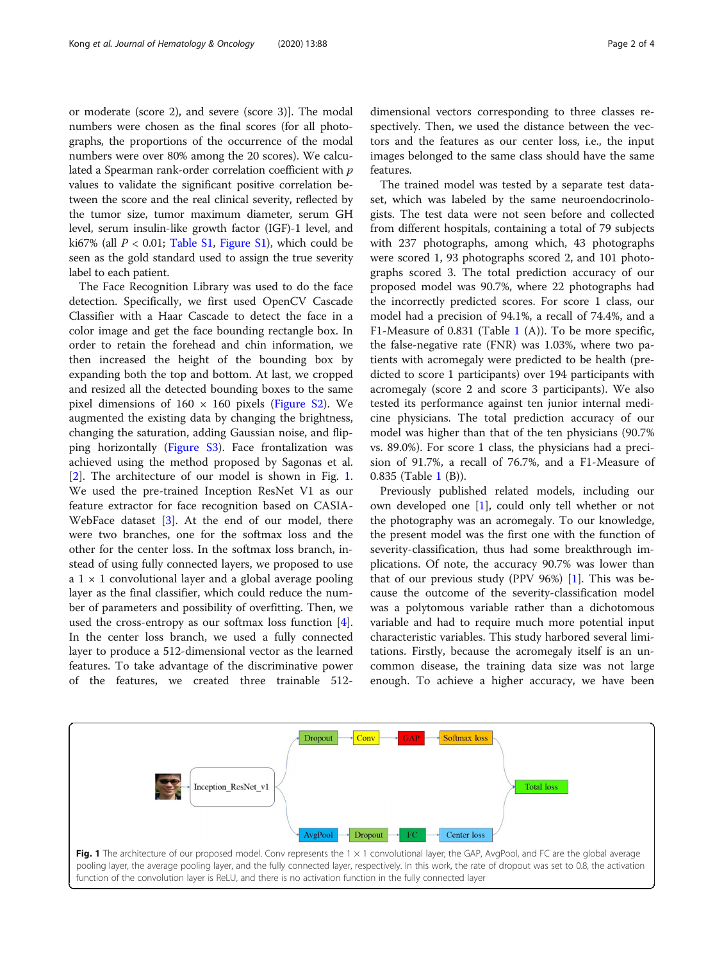or moderate (score 2), and severe (score 3)]. The modal numbers were chosen as the final scores (for all photographs, the proportions of the occurrence of the modal numbers were over 80% among the 20 scores). We calculated a Spearman rank-order correlation coefficient with  $p$ values to validate the significant positive correlation between the score and the real clinical severity, reflected by the tumor size, tumor maximum diameter, serum GH level, serum insulin-like growth factor (IGF)-1 level, and ki67% (all  $P < 0.01$ ; [Table S1](#page-2-0), [Figure S1](#page-2-0)), which could be seen as the gold standard used to assign the true severity label to each patient.

The Face Recognition Library was used to do the face detection. Specifically, we first used OpenCV Cascade Classifier with a Haar Cascade to detect the face in a color image and get the face bounding rectangle box. In order to retain the forehead and chin information, we then increased the height of the bounding box by expanding both the top and bottom. At last, we cropped and resized all the detected bounding boxes to the same pixel dimensions of  $160 \times 160$  pixels ([Figure S2](#page-2-0)). We augmented the existing data by changing the brightness, changing the saturation, adding Gaussian noise, and flipping horizontally [\(Figure S3\)](#page-2-0). Face frontalization was achieved using the method proposed by Sagonas et al. [[2\]](#page-3-0). The architecture of our model is shown in Fig. 1. We used the pre-trained Inception ResNet V1 as our feature extractor for face recognition based on CASIA-WebFace dataset [\[3](#page-3-0)]. At the end of our model, there were two branches, one for the softmax loss and the other for the center loss. In the softmax loss branch, instead of using fully connected layers, we proposed to use a  $1 \times 1$  convolutional layer and a global average pooling layer as the final classifier, which could reduce the number of parameters and possibility of overfitting. Then, we used the cross-entropy as our softmax loss function [\[4](#page-3-0)]. In the center loss branch, we used a fully connected layer to produce a 512-dimensional vector as the learned features. To take advantage of the discriminative power of the features, we created three trainable 512-

dimensional vectors corresponding to three classes respectively. Then, we used the distance between the vectors and the features as our center loss, i.e., the input images belonged to the same class should have the same features.

The trained model was tested by a separate test dataset, which was labeled by the same neuroendocrinologists. The test data were not seen before and collected from different hospitals, containing a total of 79 subjects with 237 photographs, among which, 43 photographs were scored 1, 93 photographs scored 2, and 101 photographs scored 3. The total prediction accuracy of our proposed model was 90.7%, where 22 photographs had the incorrectly predicted scores. For score 1 class, our model had a precision of 94.1%, a recall of 74.4%, and a F1-Measure of 0.831 (Table [1](#page-2-0) (A)). To be more specific, the false-negative rate (FNR) was 1.03%, where two patients with acromegaly were predicted to be health (predicted to score 1 participants) over 194 participants with acromegaly (score 2 and score 3 participants). We also tested its performance against ten junior internal medicine physicians. The total prediction accuracy of our model was higher than that of the ten physicians (90.7% vs. 89.0%). For score 1 class, the physicians had a precision of 91.7%, a recall of 76.7%, and a F1-Measure of 0.835 (Table [1](#page-2-0) (B)).

Previously published related models, including our own developed one [\[1](#page-3-0)], could only tell whether or not the photography was an acromegaly. To our knowledge, the present model was the first one with the function of severity-classification, thus had some breakthrough implications. Of note, the accuracy 90.7% was lower than that of our previous study (PPV 96%) [\[1](#page-3-0)]. This was because the outcome of the severity-classification model was a polytomous variable rather than a dichotomous variable and had to require much more potential input characteristic variables. This study harbored several limitations. Firstly, because the acromegaly itself is an uncommon disease, the training data size was not large enough. To achieve a higher accuracy, we have been

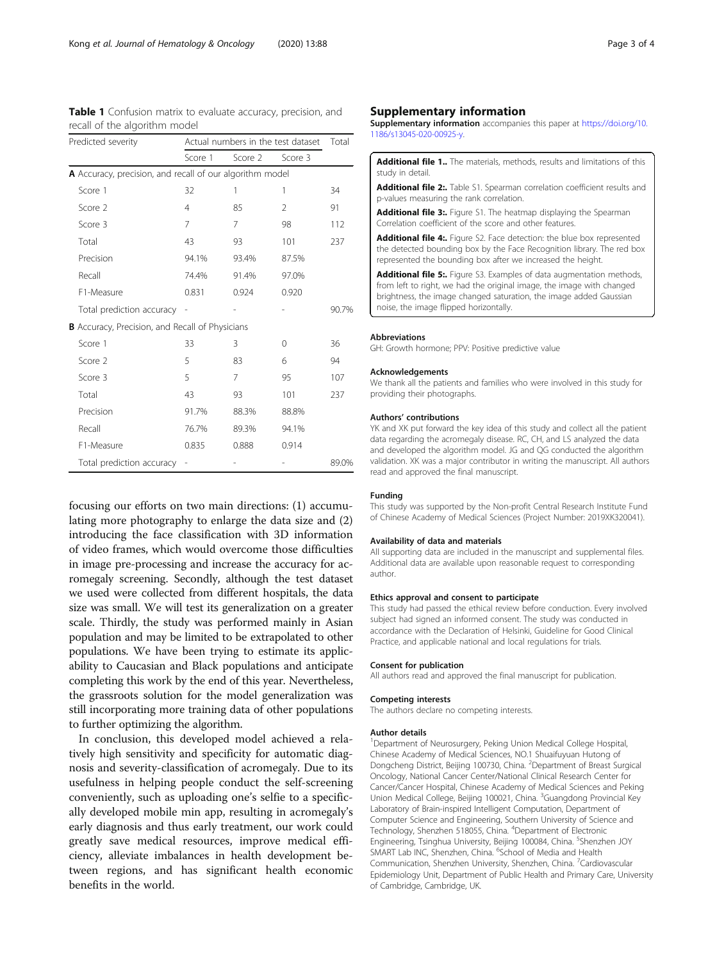<span id="page-2-0"></span>Table 1 Confusion matrix to evaluate accuracy, precision, and recall of the algorithm model

| Predicted severity                                       | Actual numbers in the test dataset | Total   |                |       |
|----------------------------------------------------------|------------------------------------|---------|----------------|-------|
|                                                          | Score 1                            | Score 2 | Score 3        |       |
| A Accuracy, precision, and recall of our algorithm model |                                    |         |                |       |
| Score 1                                                  | 32                                 | 1       | 1              | 34    |
| Score 2                                                  | $\overline{4}$                     | 85      | $\overline{2}$ | 91    |
| Score 3                                                  | 7                                  | 7       | 98             | 112   |
| Total                                                    | 43                                 | 93      | 101            | 237   |
| Precision                                                | 94.1%                              | 93.4%   | 87.5%          |       |
| Recall                                                   | 74.4%                              | 91.4%   | 97.0%          |       |
| F1-Measure                                               | 0.831                              | 0.924   | 0.920          |       |
| Total prediction accuracy                                |                                    |         |                | 90.7% |
| <b>B</b> Accuracy, Precision, and Recall of Physicians   |                                    |         |                |       |
| Score 1                                                  | 33                                 | 3       | 0              | 36    |
| Score 2                                                  | 5                                  | 83      | 6              | 94    |
| Score 3                                                  | 5                                  | 7       | 95             | 107   |
| Total                                                    | 43                                 | 93      | 101            | 237   |
| Precision                                                | 91.7%                              | 88.3%   | 88.8%          |       |
| Recall                                                   | 76.7%                              | 89.3%   | 94.1%          |       |
| F1-Measure                                               | 0.835                              | 0.888   | 0.914          |       |
| Total prediction accuracy                                |                                    |         |                | 89.0% |

focusing our efforts on two main directions: (1) accumulating more photography to enlarge the data size and (2) introducing the face classification with 3D information of video frames, which would overcome those difficulties in image pre-processing and increase the accuracy for acromegaly screening. Secondly, although the test dataset we used were collected from different hospitals, the data size was small. We will test its generalization on a greater scale. Thirdly, the study was performed mainly in Asian population and may be limited to be extrapolated to other populations. We have been trying to estimate its applicability to Caucasian and Black populations and anticipate completing this work by the end of this year. Nevertheless, the grassroots solution for the model generalization was still incorporating more training data of other populations to further optimizing the algorithm.

In conclusion, this developed model achieved a relatively high sensitivity and specificity for automatic diagnosis and severity-classification of acromegaly. Due to its usefulness in helping people conduct the self-screening conveniently, such as uploading one's selfie to a specifically developed mobile min app, resulting in acromegaly's early diagnosis and thus early treatment, our work could greatly save medical resources, improve medical efficiency, alleviate imbalances in health development between regions, and has significant health economic benefits in the world.

Supplementary information accompanies this paper at [https://doi.org/10.](https://doi.org/10.1186/s13045-020-00925-y) [1186/s13045-020-00925-y](https://doi.org/10.1186/s13045-020-00925-y).

| <b>Additional file 1</b> The materials, methods, results and limitations of this |  |  |  |  |  |
|----------------------------------------------------------------------------------|--|--|--|--|--|
| study in detail.                                                                 |  |  |  |  |  |
| Additional file 2: Table S1, Spearman correlation coefficient results and        |  |  |  |  |  |

Additional file 2:. Table S1. Spearman correlation coefficient results and p-values measuring the rank correlation.

Additional file 3:. Figure S1. The heatmap displaying the Spearman Correlation coefficient of the score and other features.

Additional file 4:. Figure S2. Face detection: the blue box represented the detected bounding box by the Face Recognition library. The red box represented the bounding box after we increased the height.

Additional file 5:. Figure S3. Examples of data augmentation methods, from left to right, we had the original image, the image with changed brightness, the image changed saturation, the image added Gaussian noise, the image flipped horizontally.

#### Abbreviations

GH: Growth hormone; PPV: Positive predictive value

#### Acknowledgements

We thank all the patients and families who were involved in this study for providing their photographs.

#### Authors' contributions

YK and XK put forward the key idea of this study and collect all the patient data regarding the acromegaly disease. RC, CH, and LS analyzed the data and developed the algorithm model. JG and QG conducted the algorithm validation. XK was a major contributor in writing the manuscript. All authors read and approved the final manuscript.

#### Funding

This study was supported by the Non-profit Central Research Institute Fund of Chinese Academy of Medical Sciences (Project Number: 2019XK320041).

#### Availability of data and materials

All supporting data are included in the manuscript and supplemental files. Additional data are available upon reasonable request to corresponding author.

#### Ethics approval and consent to participate

This study had passed the ethical review before conduction. Every involved subject had signed an informed consent. The study was conducted in accordance with the Declaration of Helsinki, Guideline for Good Clinical Practice, and applicable national and local regulations for trials.

#### Consent for publication

All authors read and approved the final manuscript for publication.

#### Competing interests

The authors declare no competing interests.

#### Author details

<sup>1</sup>Department of Neurosurgery, Peking Union Medical College Hospital Chinese Academy of Medical Sciences, NO.1 Shuaifuyuan Hutong of Dongcheng District, Beijing 100730, China. <sup>2</sup>Department of Breast Surgical Oncology, National Cancer Center/National Clinical Research Center for Cancer/Cancer Hospital, Chinese Academy of Medical Sciences and Peking Union Medical College, Beijing 100021, China. <sup>3</sup>Guangdong Provincial Key Laboratory of Brain-inspired Intelligent Computation, Department of Computer Science and Engineering, Southern University of Science and Technology, Shenzhen 518055, China. <sup>4</sup>Department of Electronic Engineering, Tsinghua University, Beijing 100084, China. <sup>5</sup>Shenzhen JOY SMART Lab INC, Shenzhen, China. <sup>6</sup>School of Media and Health Communication, Shenzhen University, Shenzhen, China. <sup>7</sup>Cardiovascular Epidemiology Unit, Department of Public Health and Primary Care, University of Cambridge, Cambridge, UK.